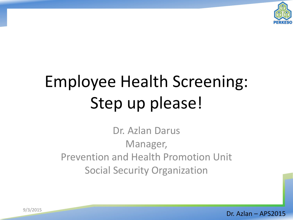

# Employee Health Screening: Step up please!

Dr. Azlan Darus Manager, Prevention and Health Promotion Unit Social Security Organization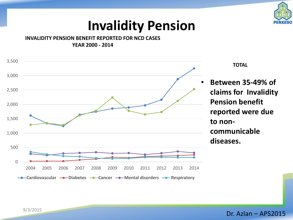

#### **Invalidity Pension**

**INVALIDITY PENSION BENEFIT REPORTED FOR NCD CASES YEAR 2000 - 2014**



**TOTAL** 

• **Between 35-49% of claims for Invalidity Pension benefit reported were due communicable diseases.** 

9/3/2015 2 Dr. Azlan – APS2015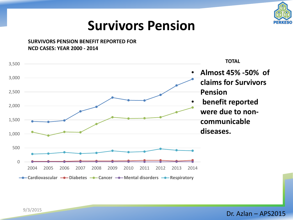

#### **Survivors Pension**

**SURVIVORS PENSION BENEFIT REPORTED FOR NCD CASES: YEAR 2000 - 2014**



e<br>
9/3/2015 **Dr. Azlan – APS2015**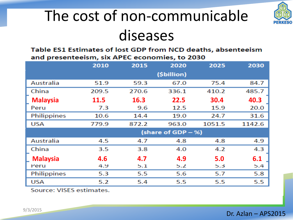### The cost of non-communicable diseases

Table ES1 Estimates of lost GDP from NCD deaths, absenteeism and presenteeism, six APEC economies, to 2030

|                 | 2010        | 2015  | 2020               | 2025   | 2030   |
|-----------------|-------------|-------|--------------------|--------|--------|
|                 |             |       | (\$billion)        |        |        |
| Australia       | 51.9        | 59.3  | 67.0               | 75.4   | 84.7   |
| China           | 209.5       | 270.6 | 336.1              | 410.2  | 485.7  |
| <b>Malaysia</b> | <b>11.5</b> | 16.3  | 22.5               | 30.4   | 40.3   |
| Peru            | 7.3         | 9.6   | 12.5               | 15.9   | 20.0   |
| Philippines     | 10.6        | 14.4  | 19.0               | 24.7   | 31.6   |
| <b>USA</b>      | 779.9       | 872.2 | 963.0              | 1051.5 | 1142.6 |
|                 |             |       | (share of GDP – %) |        |        |
| Australia       | 4.5         | 4.7   | 4.8                | 4.8    | 4.9    |
| China           | 3.5         | 3.8   | 4.0                | 4.2    | 4.3    |
| <b>Malaysia</b> | 4.6         | 4.7   | 4.9                | 5.0    | 6.1    |
| Peru            | 4.9         | 5.1   | 5.2                | 5.3    | 5.4    |
| Philippines     | 5.3         | 5.5   | 5.6                | 5.7    | 5.8    |
| <b>USA</b>      | 5.2         | 5.4   | 5.5                | 5.5    | 5.5    |

Source: VISES estimates.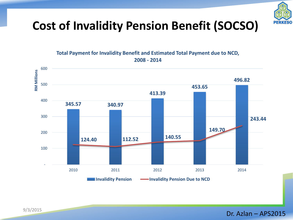

#### **Cost of Invalidity Pension Benefit (SOCSO)**

**Total Payment for Invalidity Benefit and Estimated Total Payment due to NCD, 2008 - 2014**



e<br>
9/3/2015 **Dr. Azlan – APS2015**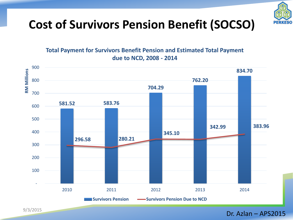

#### **Cost of Survivors Pension Benefit (SOCSO)**

**Total Payment for Survivors Benefit Pension and Estimated Total Payment due to NCD, 2008 - 2014**



e<br>
9/3/2015 **1. Dr. Azlan – APS2015**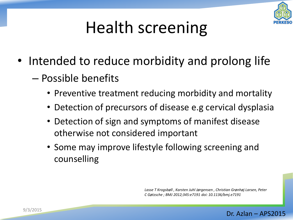

# Health screening

- Intended to reduce morbidity and prolong life
	- Possible benefits
		- Preventive treatment reducing morbidity and mortality
		- Detection of precursors of disease e.g cervical dysplasia
		- Detection of sign and symptoms of manifest disease otherwise not considered important
		- Some may improve lifestyle following screening and counselling

*Lasse T Krogsbøll , Karsten Juhl Jørgensen , Christian Grønhøj Larsen, Peter C Gøtzsche ; BMJ 2012;345:e7191 doi: 10.1136/bmj.e7191* 

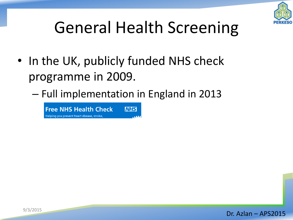

# General Health Screening

- In the UK, publicly funded NHS check programme in 2009.
	- Full implementation in England in 2013

**Free NHS Health Check NHS** Helping you prevent heart disease, stroke,

9/3/2015 **1.2 Dr. Azlan – APS2015**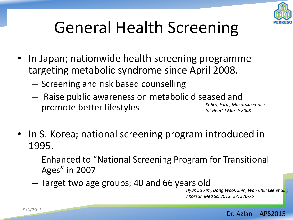

# General Health Screening

- In Japan; nationwide health screening programme targeting metabolic syndrome since April 2008.
	- Screening and risk based counselling
	- Raise public awareness on metabolic diseased and promote better lifestyles *Kohro, Furui, Mitsutake et al. ; Int Heart J March 2008*
- In S. Korea; national screening program introduced in 1995.
	- $-$  Enhanced to "National Screening Program for Transitional Ages" in 2007
	- Target two age groups; 40 and 66 years old

*Hyun Su Kim, Dong Wook Shin, Won Chul Lee et al. ; J Korean Med Sci 2012; 27: S70-75*

#### 9/3/2015 **Dr. Azlan – APS2015**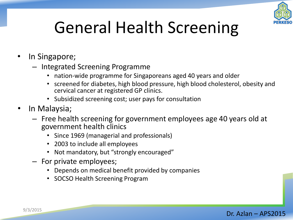

# General Health Screening

- In Singapore;
	- Integrated Screening Programme
		- nation-wide programme for Singaporeans aged 40 years and older
		- screened for diabetes, high blood pressure, high blood cholesterol, obesity and cervical cancer at registered GP clinics.
		- Subsidized screening cost; user pays for consultation
- In Malaysia;
	- Free health screening for government employees age 40 years old at government health clinics
		- Since 1969 (managerial and professionals)
		- 2003 to include all employees
		- Not mandatory, but "strongly encouraged"
	- For private employees;
		- Depends on medical benefit provided by companies
		- SOCSO Health Screening Program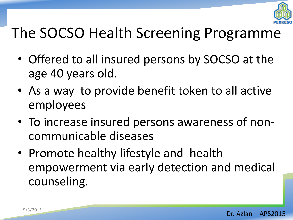

### The SOCSO Health Screening Programme

- Offered to all insured persons by SOCSO at the age 40 years old.
- As a way to provide benefit token to all active employees
- To increase insured persons awareness of noncommunicable diseases
- Promote healthy lifestyle and health empowerment via early detection and medical counseling.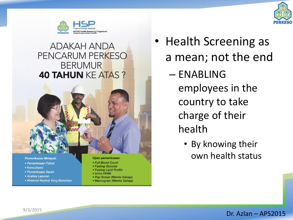



#### **ADAKAH ANDA** PENCARUM PERKESO **BERUMUR 40 TAHUN KE ATAS?**

#### **Pemeriksaan Meliputi:**

- Pemeriksaan Fizikal
- Konsultansi
- Pemeriksaan Darah
- Analisa Laporan
- Khidmat Nasihat Yang Berkaitan

**Ujian pemeriksaan:** 

- Full Blood Count
- Fasting Glucose
- Fasting Lipid Profile
- Urine FEME
- Pap Smear (Wanita Sahaja)
- Mamogram (Wanita Sahaja)
- Health Screening as a mean; not the end
	- ENABLING employees in the country to take charge of their health
		- By knowing their own health status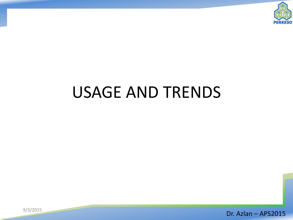

### USAGE AND TRENDS

9/3/2015 **Dr. Azlan – APS2015**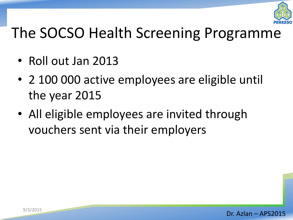

#### The SOCSO Health Screening Programme

- Roll out Jan 2013
- 2 100 000 active employees are eligible until the year 2015
- All eligible employees are invited through vouchers sent via their employers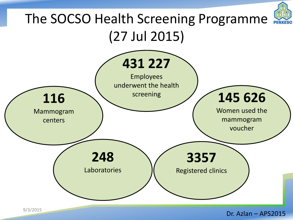

e<br>
9/3/2015 **15 Dr. Azlan – APS2015**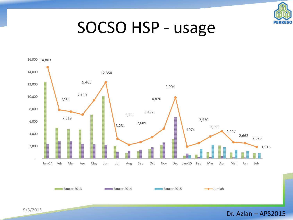

#### SOCSO HSP - usage



9/3/2015 **Dr. Azlan – APS2015**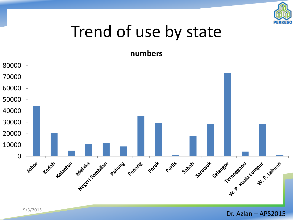

#### Trend of use by state

**numbers** 

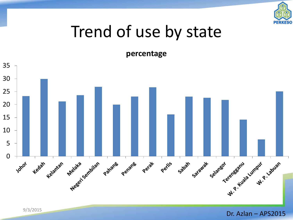

#### Trend of use by state

**percentage** 



9/3/2015 **Dr. Azlan – APS2015**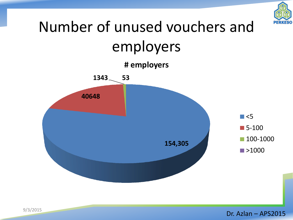

#### Number of unused vouchers and employers **40648 1343 53 # employers**   $\Box$  <5 ■ 5-100

**154,305** 

9/3/2015 **Dr. Azlan – APS2015** 

100-1000

■>1000

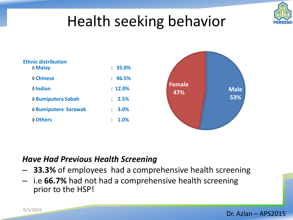

#### Health seeking behavior

| <b>Ethnic distribution</b><br>♦ Malay | : 35.0%    |
|---------------------------------------|------------|
| <b>♦ Chinese</b>                      | : 46.5%    |
| $\Diamond$ Indian                     | $: 12.0\%$ |
| <b>♦ Bumiputera Sabah</b>             | : 2.5%     |
| <b>↑ Bumiputera Sarawak</b>           | $: 3.0\%$  |
| <b>♦ Others</b>                       | 1.0%       |



#### *Have Had Previous Health Screening*

- **33.3%** of employees had a comprehensive health screening
- i.e **66.7%** had not had a comprehensive health screening prior to the HSP!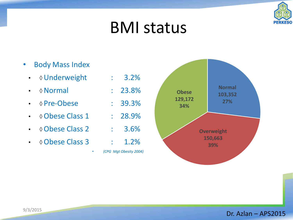

#### BMI status

- Body Mass Index
	- **Ounderweight** : 3.2%
	- **Observe Mormal** : 23.8%
	- $\cdot$   $\lozenge$  Pre-Obese : 39.3%
	- $\cdot$   $\lozenge$  Obese Class 1 : 28.9%
	- $\cdot$   $\circ$  Obese Class 2 : 3.6%
	- $\bullet \quad \lozenge$  Obese Class 3 : 1.2%

- 
- 
- *(CPG Mgt Obesity 2004)*

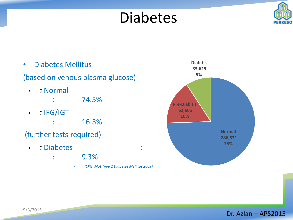#### Diabetes





- : 9.3%
	- *(CPG Mgt Type 2 Diabetes Mellitus 2009)*

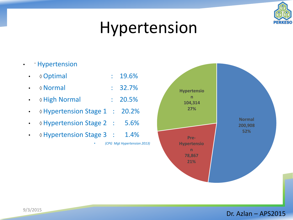

#### Hypertension

- Hypertension
	- **Optimal** : 19.6%
	- Normal : 32.7%
	- **Migh Normal** : 20.5%
	- **Mypertension Stage 1** : 20.2%
	- $\Diamond$  Hypertension Stage 2 : 5.6%
	- **Or Hypertension Stage 3 : 1.4%**

• *(CPG Mgt Hypertension 2013)*

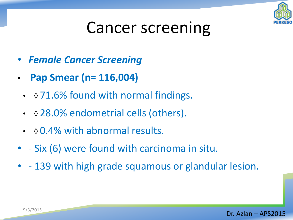

### Cancer screening

- *Female Cancer Screening*
- **Pap Smear (n= 116,004)**
	- $\Diamond$  71.6% found with normal findings.
	- ↑ 28.0% endometrial cells (others).
	- $\cdot$   $\Diamond$  0.4% with abnormal results.
- - Six (6) were found with carcinoma in situ.
- - 139 with high grade squamous or glandular lesion.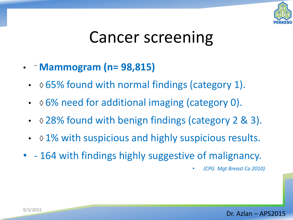

#### Cancer screening

- ¨ **Mammogram (n= 98,815)**
	- $\cdot$   $\Diamond$  65% found with normal findings (category 1).
	- $\cdot$   $\Diamond$  6% need for additional imaging (category 0).
	- $\Diamond$  28% found with benign findings (category 2 & 3).
	- $\cdot$   $\Diamond$  1% with suspicious and highly suspicious results.
- - 164 with findings highly suggestive of malignancy.

• *(CPG Mgt Breast Ca 2010)*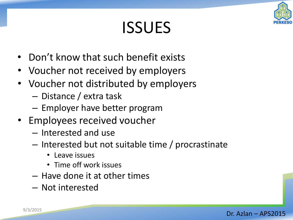# ISSUES

- Don't know that such benefit exists
- Voucher not received by employers
- Voucher not distributed by employers
	- Distance / extra task
	- Employer have better program
- Employees received voucher
	- Interested and use
	- Interested but not suitable time / procrastinate
		- Leave issues
		- Time off work issues
	- Have done it at other times
	- Not interested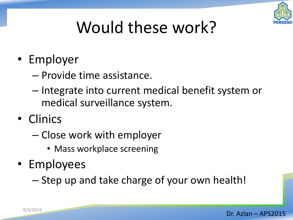

# Would these work?

- Employer
	- Provide time assistance.
	- Integrate into current medical benefit system or medical surveillance system.
- Clinics
	- Close work with employer
		- Mass workplace screening
- Employees

– Step up and take charge of your own health!